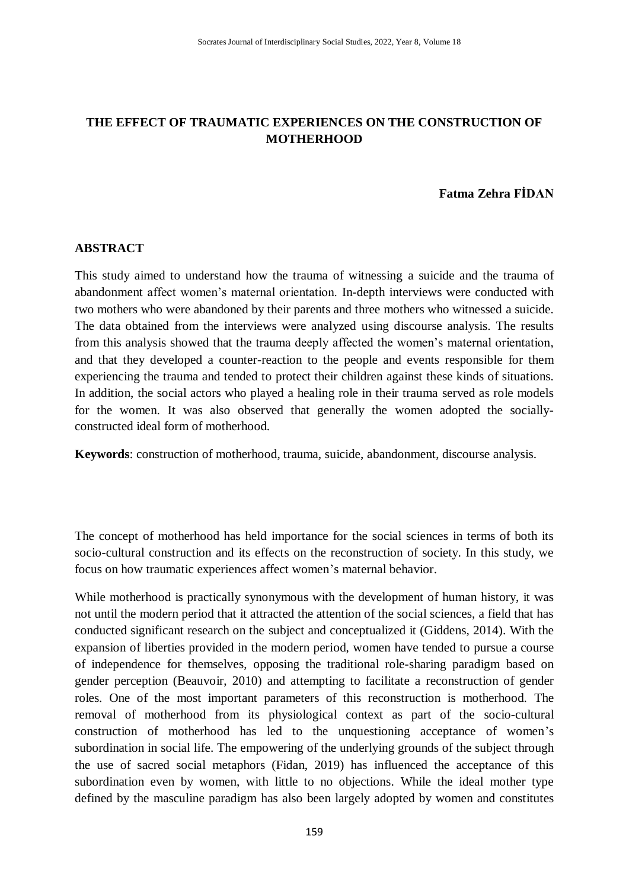# **THE EFFECT OF TRAUMATIC EXPERIENCES ON THE CONSTRUCTION OF MOTHERHOOD**

### **Fatma Zehra FİDAN**

#### **ABSTRACT**

This study aimed to understand how the trauma of witnessing a suicide and the trauma of abandonment affect women"s maternal orientation. In-depth interviews were conducted with two mothers who were abandoned by their parents and three mothers who witnessed a suicide. The data obtained from the interviews were analyzed using discourse analysis. The results from this analysis showed that the trauma deeply affected the women"s maternal orientation, and that they developed a counter-reaction to the people and events responsible for them experiencing the trauma and tended to protect their children against these kinds of situations. In addition, the social actors who played a healing role in their trauma served as role models for the women. It was also observed that generally the women adopted the sociallyconstructed ideal form of motherhood.

**Keywords**: construction of motherhood, trauma, suicide, abandonment, discourse analysis.

The concept of motherhood has held importance for the social sciences in terms of both its socio-cultural construction and its effects on the reconstruction of society. In this study, we focus on how traumatic experiences affect women"s maternal behavior.

While motherhood is practically synonymous with the development of human history, it was not until the modern period that it attracted the attention of the social sciences, a field that has conducted significant research on the subject and conceptualized it (Giddens, 2014). With the expansion of liberties provided in the modern period, women have tended to pursue a course of independence for themselves, opposing the traditional role-sharing paradigm based on gender perception (Beauvoir, 2010) and attempting to facilitate a reconstruction of gender roles. One of the most important parameters of this reconstruction is motherhood. The removal of motherhood from its physiological context as part of the socio-cultural construction of motherhood has led to the unquestioning acceptance of women"s subordination in social life. The empowering of the underlying grounds of the subject through the use of sacred social metaphors (Fidan, 2019) has influenced the acceptance of this subordination even by women, with little to no objections. While the ideal mother type defined by the masculine paradigm has also been largely adopted by women and constitutes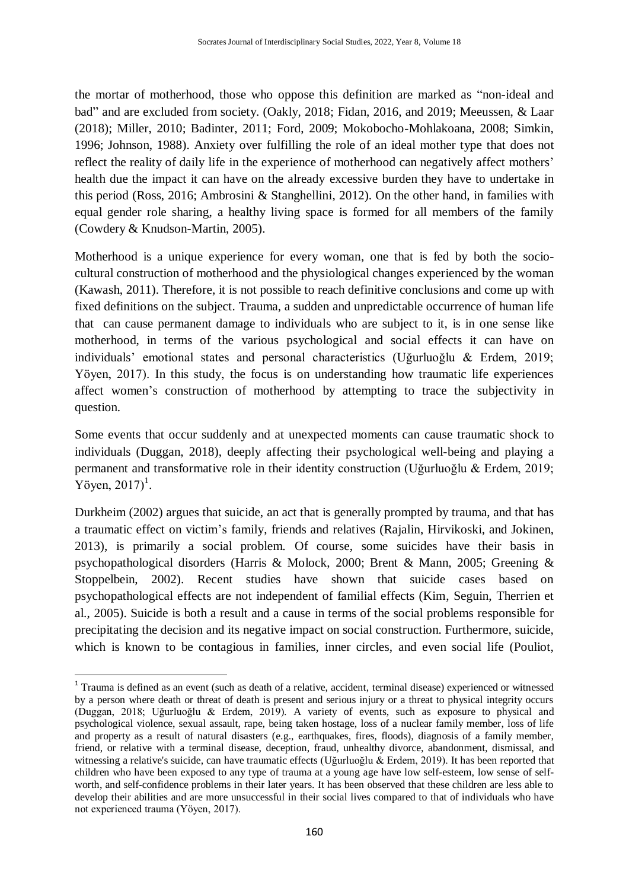the mortar of motherhood, those who oppose this definition are marked as "non-ideal and bad" and are excluded from society. (Oakly, 2018; Fidan, 2016, and 2019; Meeussen, & Laar (2018); Miller, 2010; Badinter, 2011; Ford, 2009; Mokobocho-Mohlakoana, 2008; Simkin, 1996; Johnson, 1988). Anxiety over fulfilling the role of an ideal mother type that does not reflect the reality of daily life in the experience of motherhood can negatively affect mothers' health due the impact it can have on the already excessive burden they have to undertake in this period (Ross, 2016; Ambrosini & Stanghellini, 2012). On the other hand, in families with equal gender role sharing, a healthy living space is formed for all members of the family (Cowdery & Knudson-Martin, 2005).

Motherhood is a unique experience for every woman, one that is fed by both the sociocultural construction of motherhood and the physiological changes experienced by the woman (Kawash, 2011). Therefore, it is not possible to reach definitive conclusions and come up with fixed definitions on the subject. Trauma, a sudden and unpredictable occurrence of human life that can cause permanent damage to individuals who are subject to it, is in one sense like motherhood, in terms of the various psychological and social effects it can have on individuals" emotional states and personal characteristics (Uğurluoğlu & Erdem, 2019; Yöyen, 2017). In this study, the focus is on understanding how traumatic life experiences affect women"s construction of motherhood by attempting to trace the subjectivity in question.

Some events that occur suddenly and at unexpected moments can cause traumatic shock to individuals (Duggan, 2018), deeply affecting their psychological well-being and playing a permanent and transformative role in their identity construction (Uğurluoğlu & Erdem, 2019; Yöyen,  $2017$ <sup>1</sup>.

Durkheim (2002) argues that suicide, an act that is generally prompted by trauma, and that has a traumatic effect on victim"s family, friends and relatives (Rajalin, Hirvikoski, and Jokinen, 2013), is primarily a social problem. Of course, some suicides have their basis in psychopathological disorders (Harris & Molock, 2000; Brent & Mann, 2005; Greening & Stoppelbein, 2002). Recent studies have shown that suicide cases based on psychopathological effects are not independent of familial effects (Kim, Seguin, Therrien et al., 2005). Suicide is both a result and a cause in terms of the social problems responsible for precipitating the decision and its negative impact on social construction. Furthermore, suicide, which is known to be contagious in families, inner circles, and even social life (Pouliot,

1

<sup>&</sup>lt;sup>1</sup> Trauma is defined as an event (such as death of a relative, accident, terminal disease) experienced or witnessed by a person where death or threat of death is present and serious injury or a threat to physical integrity occurs (Duggan, 2018; Uğurluoğlu & Erdem, 2019). A variety of events, such as exposure to physical and psychological violence, sexual assault, rape, being taken hostage, loss of a nuclear family member, loss of life and property as a result of natural disasters (e.g., earthquakes, fires, floods), diagnosis of a family member, friend, or relative with a terminal disease, deception, fraud, unhealthy divorce, abandonment, dismissal, and witnessing a relative's suicide, can have traumatic effects (Uğurluoğlu & Erdem, 2019). It has been reported that children who have been exposed to any type of trauma at a young age have low self-esteem, low sense of selfworth, and self-confidence problems in their later years. It has been observed that these children are less able to develop their abilities and are more unsuccessful in their social lives compared to that of individuals who have not experienced trauma (Yöyen, 2017).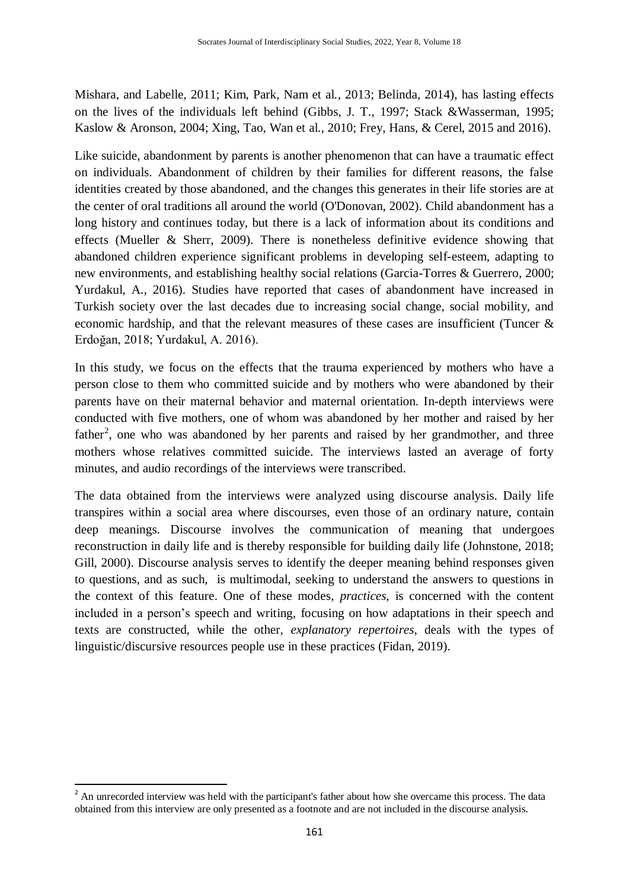Mishara, and Labelle, 2011; Kim, Park, Nam et al., 2013; Belinda, 2014), has lasting effects on the lives of the individuals left behind (Gibbs, J. T., 1997; Stack &Wasserman, 1995; Kaslow & Aronson, 2004; Xing, Tao, Wan et al., 2010; Frey, Hans, & Cerel, 2015 and 2016).

Like suicide, abandonment by parents is another phenomenon that can have a traumatic effect on individuals. Abandonment of children by their families for different reasons, the false identities created by those abandoned, and the changes this generates in their life stories are at the center of oral traditions all around the world (O'Donovan, 2002). Child abandonment has a long history and continues today, but there is a lack of information about its conditions and effects (Mueller & Sherr, 2009). There is nonetheless definitive evidence showing that abandoned children experience significant problems in developing self-esteem, adapting to new environments, and establishing healthy social relations (Garcia-Torres & Guerrero, 2000; Yurdakul, A., 2016). Studies have reported that cases of abandonment have increased in Turkish society over the last decades due to increasing social change, social mobility, and economic hardship, and that the relevant measures of these cases are insufficient (Tuncer & Erdoğan, 2018; Yurdakul, A. 2016).

In this study, we focus on the effects that the trauma experienced by mothers who have a person close to them who committed suicide and by mothers who were abandoned by their parents have on their maternal behavior and maternal orientation. In-depth interviews were conducted with five mothers, one of whom was abandoned by her mother and raised by her father<sup>2</sup>, one who was abandoned by her parents and raised by her grandmother, and three mothers whose relatives committed suicide. The interviews lasted an average of forty minutes, and audio recordings of the interviews were transcribed.

The data obtained from the interviews were analyzed using discourse analysis. Daily life transpires within a social area where discourses, even those of an ordinary nature, contain deep meanings. Discourse involves the communication of meaning that undergoes reconstruction in daily life and is thereby responsible for building daily life (Johnstone, 2018; Gill, 2000). Discourse analysis serves to identify the deeper meaning behind responses given to questions, and as such, is multimodal, seeking to understand the answers to questions in the context of this feature. One of these modes, *practices*, is concerned with the content included in a person"s speech and writing, focusing on how adaptations in their speech and texts are constructed, while the other, *explanatory repertoires*, deals with the types of linguistic/discursive resources people use in these practices (Fidan, 2019).

1

 $2^{2}$  An unrecorded interview was held with the participant's father about how she overcame this process. The data obtained from this interview are only presented as a footnote and are not included in the discourse analysis.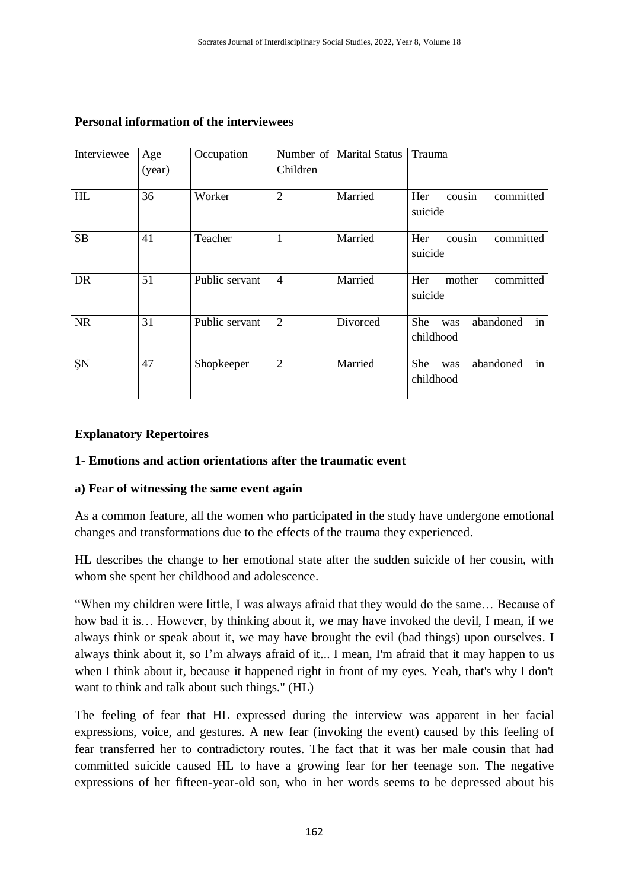| Interviewee | Age<br>(year) | Occupation     | Children       | Number of   Marital Status | Trauma                                            |
|-------------|---------------|----------------|----------------|----------------------------|---------------------------------------------------|
| HL          | 36            | Worker         | $\overline{2}$ | Married                    | cousin<br>Her<br>committed<br>suicide             |
| <b>SB</b>   | 41            | Teacher        | 1              | Married                    | committed<br>Her<br>cousin<br>suicide             |
| <b>DR</b>   | 51            | Public servant | $\overline{4}$ | Married                    | Her<br>mother<br>committed<br>suicide             |
| <b>NR</b>   | 31            | Public servant | $\overline{2}$ | Divorced                   | abandoned<br><b>She</b><br>in<br>was<br>childhood |
| ŞN          | 47            | Shopkeeper     | $\overline{2}$ | Married                    | She<br>abandoned<br>in<br>was<br>childhood        |

### **Personal information of the interviewees**

#### **Explanatory Repertoires**

#### **1- Emotions and action orientations after the traumatic event**

#### **a) Fear of witnessing the same event again**

As a common feature, all the women who participated in the study have undergone emotional changes and transformations due to the effects of the trauma they experienced.

HL describes the change to her emotional state after the sudden suicide of her cousin, with whom she spent her childhood and adolescence.

"When my children were little, I was always afraid that they would do the same… Because of how bad it is… However, by thinking about it, we may have invoked the devil, I mean, if we always think or speak about it, we may have brought the evil (bad things) upon ourselves. I always think about it, so I"m always afraid of it... I mean, I'm afraid that it may happen to us when I think about it, because it happened right in front of my eyes. Yeah, that's why I don't want to think and talk about such things." (HL)

The feeling of fear that HL expressed during the interview was apparent in her facial expressions, voice, and gestures. A new fear (invoking the event) caused by this feeling of fear transferred her to contradictory routes. The fact that it was her male cousin that had committed suicide caused HL to have a growing fear for her teenage son. The negative expressions of her fifteen-year-old son, who in her words seems to be depressed about his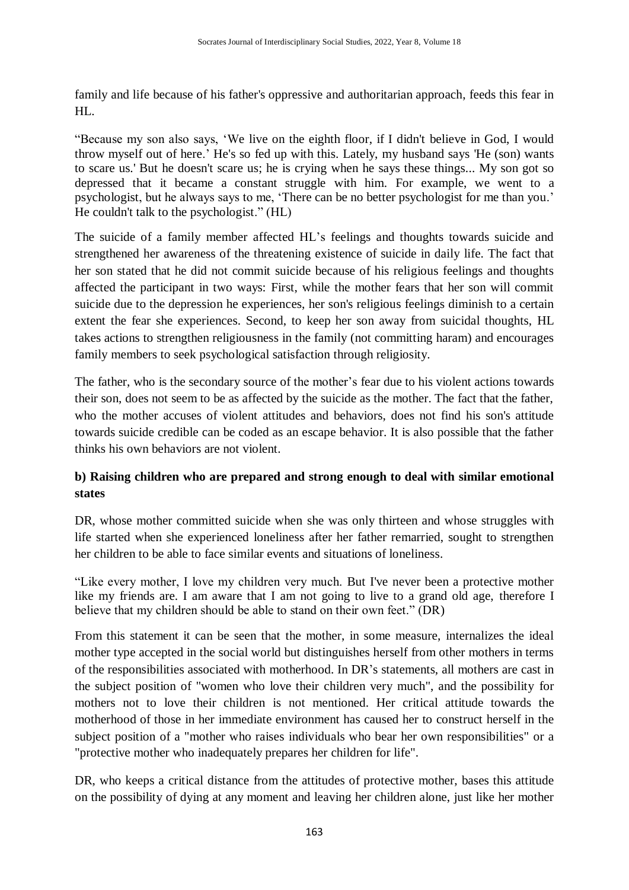family and life because of his father's oppressive and authoritarian approach, feeds this fear in HL.

"Because my son also says, "We live on the eighth floor, if I didn't believe in God, I would throw myself out of here." He's so fed up with this. Lately, my husband says 'He (son) wants to scare us.' But he doesn't scare us; he is crying when he says these things... My son got so depressed that it became a constant struggle with him. For example, we went to a psychologist, but he always says to me, "There can be no better psychologist for me than you." He couldn't talk to the psychologist." (HL)

The suicide of a family member affected HL"s feelings and thoughts towards suicide and strengthened her awareness of the threatening existence of suicide in daily life. The fact that her son stated that he did not commit suicide because of his religious feelings and thoughts affected the participant in two ways: First, while the mother fears that her son will commit suicide due to the depression he experiences, her son's religious feelings diminish to a certain extent the fear she experiences. Second, to keep her son away from suicidal thoughts, HL takes actions to strengthen religiousness in the family (not committing haram) and encourages family members to seek psychological satisfaction through religiosity.

The father, who is the secondary source of the mother"s fear due to his violent actions towards their son, does not seem to be as affected by the suicide as the mother. The fact that the father, who the mother accuses of violent attitudes and behaviors, does not find his son's attitude towards suicide credible can be coded as an escape behavior. It is also possible that the father thinks his own behaviors are not violent.

# **b) Raising children who are prepared and strong enough to deal with similar emotional states**

DR, whose mother committed suicide when she was only thirteen and whose struggles with life started when she experienced loneliness after her father remarried, sought to strengthen her children to be able to face similar events and situations of loneliness.

"Like every mother, I love my children very much. But I've never been a protective mother like my friends are. I am aware that I am not going to live to a grand old age, therefore I believe that my children should be able to stand on their own feet." (DR)

From this statement it can be seen that the mother, in some measure, internalizes the ideal mother type accepted in the social world but distinguishes herself from other mothers in terms of the responsibilities associated with motherhood. In DR"s statements, all mothers are cast in the subject position of "women who love their children very much", and the possibility for mothers not to love their children is not mentioned. Her critical attitude towards the motherhood of those in her immediate environment has caused her to construct herself in the subject position of a "mother who raises individuals who bear her own responsibilities" or a "protective mother who inadequately prepares her children for life".

DR, who keeps a critical distance from the attitudes of protective mother, bases this attitude on the possibility of dying at any moment and leaving her children alone, just like her mother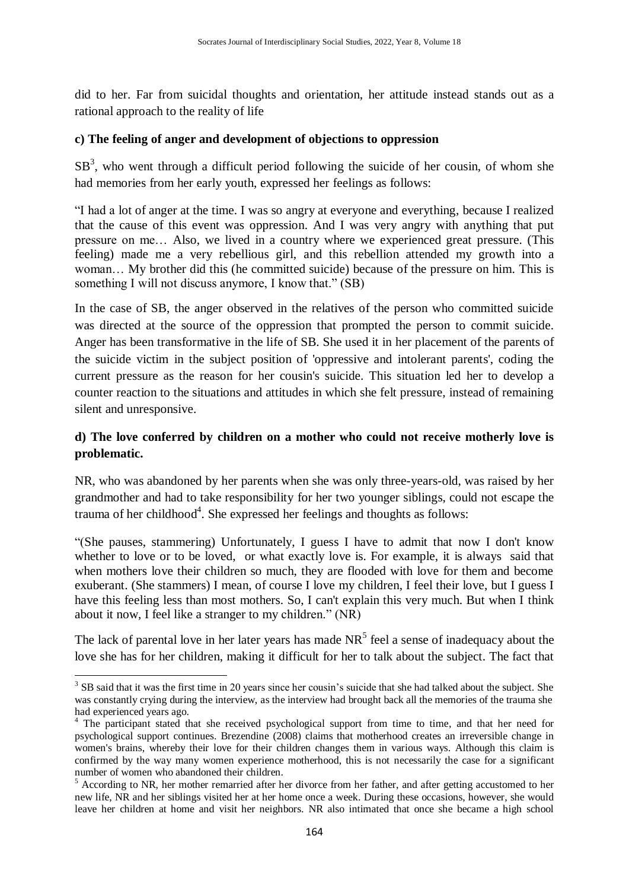did to her. Far from suicidal thoughts and orientation, her attitude instead stands out as a rational approach to the reality of life

### **c) The feeling of anger and development of objections to oppression**

 $SB<sup>3</sup>$ , who went through a difficult period following the suicide of her cousin, of whom she had memories from her early youth, expressed her feelings as follows:

"I had a lot of anger at the time. I was so angry at everyone and everything, because I realized that the cause of this event was oppression. And I was very angry with anything that put pressure on me… Also, we lived in a country where we experienced great pressure. (This feeling) made me a very rebellious girl, and this rebellion attended my growth into a woman… My brother did this (he committed suicide) because of the pressure on him. This is something I will not discuss anymore, I know that." (SB)

In the case of SB, the anger observed in the relatives of the person who committed suicide was directed at the source of the oppression that prompted the person to commit suicide. Anger has been transformative in the life of SB. She used it in her placement of the parents of the suicide victim in the subject position of 'oppressive and intolerant parents', coding the current pressure as the reason for her cousin's suicide. This situation led her to develop a counter reaction to the situations and attitudes in which she felt pressure, instead of remaining silent and unresponsive.

# **d) The love conferred by children on a mother who could not receive motherly love is problematic.**

NR, who was abandoned by her parents when she was only three-years-old, was raised by her grandmother and had to take responsibility for her two younger siblings, could not escape the trauma of her childhood<sup>4</sup>. She expressed her feelings and thoughts as follows:

"(She pauses, stammering) Unfortunately, I guess I have to admit that now I don't know whether to love or to be loved, or what exactly love is. For example, it is always said that when mothers love their children so much, they are flooded with love for them and become exuberant. (She stammers) I mean, of course I love my children, I feel their love, but I guess I have this feeling less than most mothers. So, I can't explain this very much. But when I think about it now, I feel like a stranger to my children." (NR)

The lack of parental love in her later years has made  $NR<sup>5</sup>$  feel a sense of inadequacy about the love she has for her children, making it difficult for her to talk about the subject. The fact that

<sup>1</sup>  $3$  SB said that it was the first time in 20 years since her cousin's suicide that she had talked about the subject. She was constantly crying during the interview, as the interview had brought back all the memories of the trauma she had experienced years ago.

<sup>4</sup> The participant stated that she received psychological support from time to time, and that her need for psychological support continues. Brezendine (2008) claims that motherhood creates an irreversible change in women's brains, whereby their love for their children changes them in various ways. Although this claim is confirmed by the way many women experience motherhood, this is not necessarily the case for a significant number of women who abandoned their children.

<sup>&</sup>lt;sup>5</sup> According to NR, her mother remarried after her divorce from her father, and after getting accustomed to her new life, NR and her siblings visited her at her home once a week. During these occasions, however, she would leave her children at home and visit her neighbors. NR also intimated that once she became a high school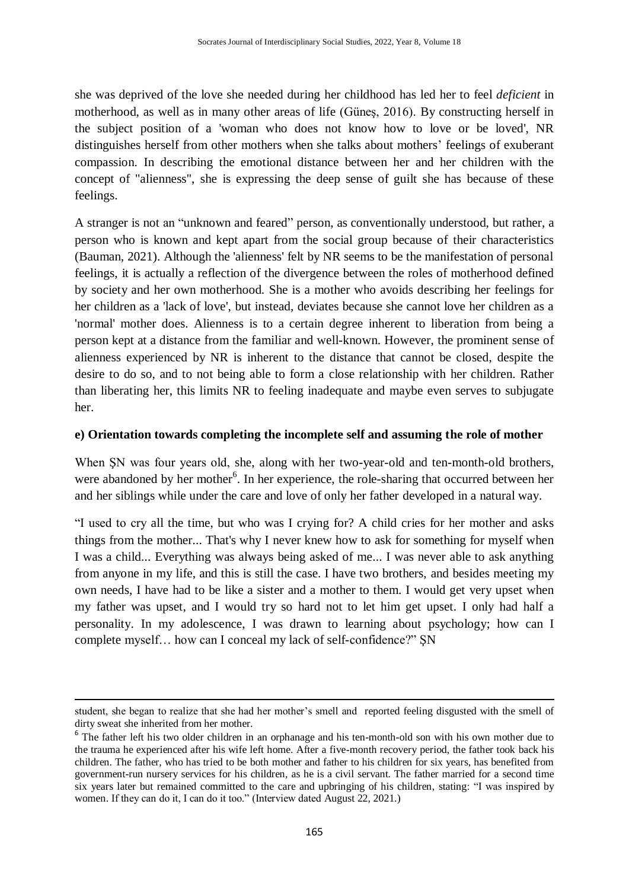she was deprived of the love she needed during her childhood has led her to feel *deficient* in motherhood, as well as in many other areas of life (Güneş, 2016). By constructing herself in the subject position of a 'woman who does not know how to love or be loved', NR distinguishes herself from other mothers when she talks about mothers' feelings of exuberant compassion. In describing the emotional distance between her and her children with the concept of "alienness", she is expressing the deep sense of guilt she has because of these feelings.

A stranger is not an "unknown and feared" person, as conventionally understood, but rather, a person who is known and kept apart from the social group because of their characteristics (Bauman, 2021). Although the 'alienness' felt by NR seems to be the manifestation of personal feelings, it is actually a reflection of the divergence between the roles of motherhood defined by society and her own motherhood. She is a mother who avoids describing her feelings for her children as a 'lack of love', but instead, deviates because she cannot love her children as a 'normal' mother does. Alienness is to a certain degree inherent to liberation from being a person kept at a distance from the familiar and well-known. However, the prominent sense of alienness experienced by NR is inherent to the distance that cannot be closed, despite the desire to do so, and to not being able to form a close relationship with her children. Rather than liberating her, this limits NR to feeling inadequate and maybe even serves to subjugate her.

#### **e) Orientation towards completing the incomplete self and assuming the role of mother**

When ŞN was four years old, she, along with her two-year-old and ten-month-old brothers, were abandoned by her mother<sup>6</sup>. In her experience, the role-sharing that occurred between her and her siblings while under the care and love of only her father developed in a natural way.

"I used to cry all the time, but who was I crying for? A child cries for her mother and asks things from the mother... That's why I never knew how to ask for something for myself when I was a child... Everything was always being asked of me... I was never able to ask anything from anyone in my life, and this is still the case. I have two brothers, and besides meeting my own needs, I have had to be like a sister and a mother to them. I would get very upset when my father was upset, and I would try so hard not to let him get upset. I only had half a personality. In my adolescence, I was drawn to learning about psychology; how can I complete myself… how can I conceal my lack of self-confidence?" ŞN

-

student, she began to realize that she had her mother"s smell and reported feeling disgusted with the smell of dirty sweat she inherited from her mother.

<sup>&</sup>lt;sup>6</sup> The father left his two older children in an orphanage and his ten-month-old son with his own mother due to the trauma he experienced after his wife left home. After a five-month recovery period, the father took back his children. The father, who has tried to be both mother and father to his children for six years, has benefited from government-run nursery services for his children, as he is a civil servant. The father married for a second time six years later but remained committed to the care and upbringing of his children, stating: "I was inspired by women. If they can do it, I can do it too." (Interview dated August 22, 2021.)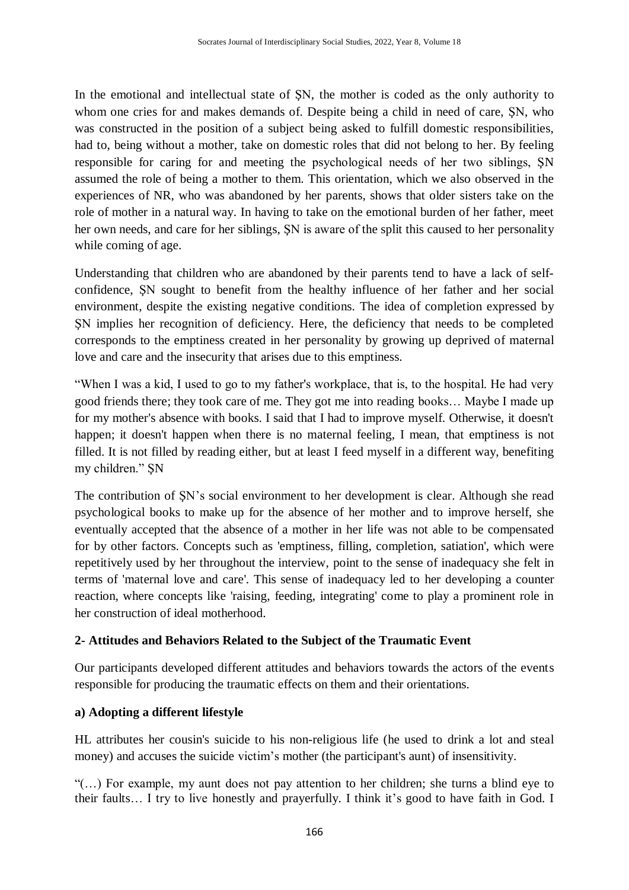In the emotional and intellectual state of ŞN, the mother is coded as the only authority to whom one cries for and makes demands of. Despite being a child in need of care, SN, who was constructed in the position of a subject being asked to fulfill domestic responsibilities, had to, being without a mother, take on domestic roles that did not belong to her. By feeling responsible for caring for and meeting the psychological needs of her two siblings, ŞN assumed the role of being a mother to them. This orientation, which we also observed in the experiences of NR, who was abandoned by her parents, shows that older sisters take on the role of mother in a natural way. In having to take on the emotional burden of her father, meet her own needs, and care for her siblings, ŞN is aware of the split this caused to her personality while coming of age.

Understanding that children who are abandoned by their parents tend to have a lack of selfconfidence, ŞN sought to benefit from the healthy influence of her father and her social environment, despite the existing negative conditions. The idea of completion expressed by ŞN implies her recognition of deficiency. Here, the deficiency that needs to be completed corresponds to the emptiness created in her personality by growing up deprived of maternal love and care and the insecurity that arises due to this emptiness.

"When I was a kid, I used to go to my father's workplace, that is, to the hospital. He had very good friends there; they took care of me. They got me into reading books… Maybe I made up for my mother's absence with books. I said that I had to improve myself. Otherwise, it doesn't happen; it doesn't happen when there is no maternal feeling, I mean, that emptiness is not filled. It is not filled by reading either, but at least I feed myself in a different way, benefiting my children." ŞN

The contribution of ŞN"s social environment to her development is clear. Although she read psychological books to make up for the absence of her mother and to improve herself, she eventually accepted that the absence of a mother in her life was not able to be compensated for by other factors. Concepts such as 'emptiness, filling, completion, satiation', which were repetitively used by her throughout the interview, point to the sense of inadequacy she felt in terms of 'maternal love and care'. This sense of inadequacy led to her developing a counter reaction, where concepts like 'raising, feeding, integrating' come to play a prominent role in her construction of ideal motherhood.

# **2- Attitudes and Behaviors Related to the Subject of the Traumatic Event**

Our participants developed different attitudes and behaviors towards the actors of the events responsible for producing the traumatic effects on them and their orientations.

#### **a) Adopting a different lifestyle**

HL attributes her cousin's suicide to his non-religious life (he used to drink a lot and steal money) and accuses the suicide victim"s mother (the participant's aunt) of insensitivity.

"(…) For example, my aunt does not pay attention to her children; she turns a blind eye to their faults... I try to live honestly and prayerfully. I think it's good to have faith in God. I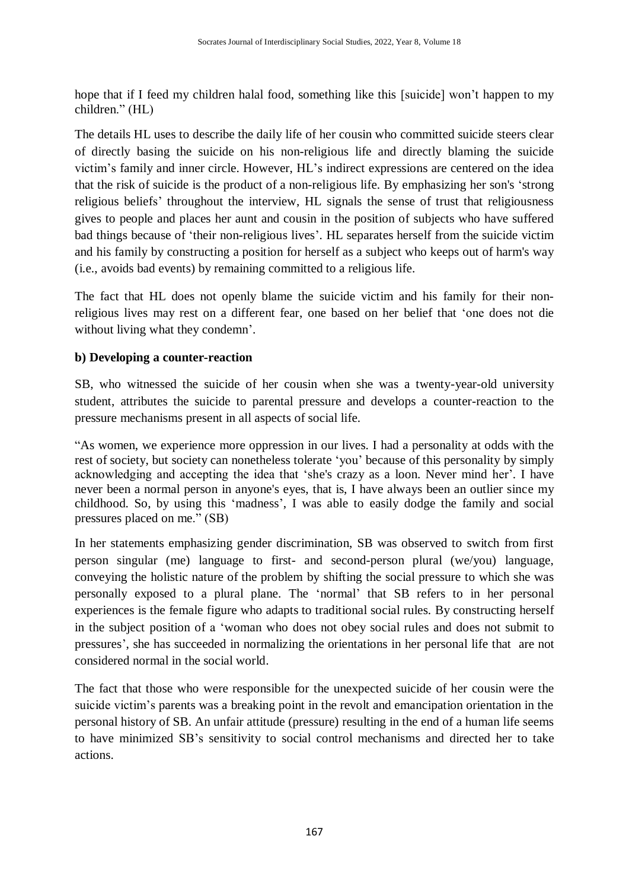hope that if I feed my children halal food, something like this [suicide] won't happen to my children." (HL)

The details HL uses to describe the daily life of her cousin who committed suicide steers clear of directly basing the suicide on his non-religious life and directly blaming the suicide victim"s family and inner circle. However, HL"s indirect expressions are centered on the idea that the risk of suicide is the product of a non-religious life. By emphasizing her son's "strong religious beliefs" throughout the interview, HL signals the sense of trust that religiousness gives to people and places her aunt and cousin in the position of subjects who have suffered bad things because of "their non-religious lives". HL separates herself from the suicide victim and his family by constructing a position for herself as a subject who keeps out of harm's way (i.e., avoids bad events) by remaining committed to a religious life.

The fact that HL does not openly blame the suicide victim and his family for their nonreligious lives may rest on a different fear, one based on her belief that "one does not die without living what they condemn'.

# **b) Developing a counter-reaction**

SB, who witnessed the suicide of her cousin when she was a twenty-year-old university student, attributes the suicide to parental pressure and develops a counter-reaction to the pressure mechanisms present in all aspects of social life.

"As women, we experience more oppression in our lives. I had a personality at odds with the rest of society, but society can nonetheless tolerate "you" because of this personality by simply acknowledging and accepting the idea that 'she's crazy as a loon. Never mind her'. I have never been a normal person in anyone's eyes, that is, I have always been an outlier since my childhood. So, by using this "madness", I was able to easily dodge the family and social pressures placed on me." (SB)

In her statements emphasizing gender discrimination, SB was observed to switch from first person singular (me) language to first- and second-person plural (we/you) language, conveying the holistic nature of the problem by shifting the social pressure to which she was personally exposed to a plural plane. The "normal" that SB refers to in her personal experiences is the female figure who adapts to traditional social rules. By constructing herself in the subject position of a "woman who does not obey social rules and does not submit to pressures', she has succeeded in normalizing the orientations in her personal life that are not considered normal in the social world.

The fact that those who were responsible for the unexpected suicide of her cousin were the suicide victim's parents was a breaking point in the revolt and emancipation orientation in the personal history of SB. An unfair attitude (pressure) resulting in the end of a human life seems to have minimized SB"s sensitivity to social control mechanisms and directed her to take actions.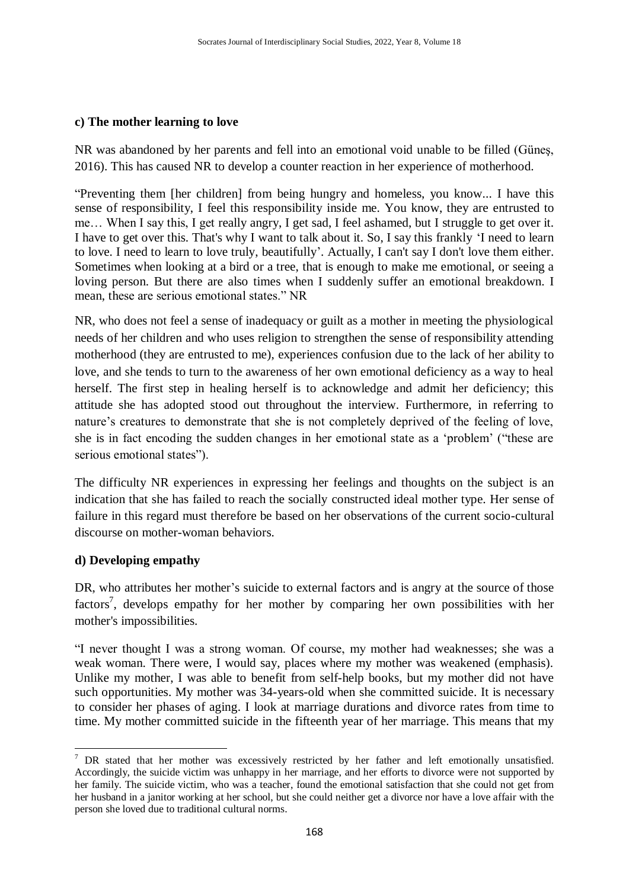### **c) The mother learning to love**

NR was abandoned by her parents and fell into an emotional void unable to be filled (Güneş, 2016). This has caused NR to develop a counter reaction in her experience of motherhood.

"Preventing them [her children] from being hungry and homeless, you know... I have this sense of responsibility, I feel this responsibility inside me. You know, they are entrusted to me… When I say this, I get really angry, I get sad, I feel ashamed, but I struggle to get over it. I have to get over this. That's why I want to talk about it. So, I say this frankly "I need to learn to love. I need to learn to love truly, beautifully". Actually, I can't say I don't love them either. Sometimes when looking at a bird or a tree, that is enough to make me emotional, or seeing a loving person. But there are also times when I suddenly suffer an emotional breakdown. I mean, these are serious emotional states." NR

NR, who does not feel a sense of inadequacy or guilt as a mother in meeting the physiological needs of her children and who uses religion to strengthen the sense of responsibility attending motherhood (they are entrusted to me), experiences confusion due to the lack of her ability to love, and she tends to turn to the awareness of her own emotional deficiency as a way to heal herself. The first step in healing herself is to acknowledge and admit her deficiency; this attitude she has adopted stood out throughout the interview. Furthermore, in referring to nature's creatures to demonstrate that she is not completely deprived of the feeling of love, she is in fact encoding the sudden changes in her emotional state as a "problem" ("these are serious emotional states").

The difficulty NR experiences in expressing her feelings and thoughts on the subject is an indication that she has failed to reach the socially constructed ideal mother type. Her sense of failure in this regard must therefore be based on her observations of the current socio-cultural discourse on mother-woman behaviors.

# **d) Developing empathy**

1

DR, who attributes her mother's suicide to external factors and is angry at the source of those factors<sup>7</sup>, develops empathy for her mother by comparing her own possibilities with her mother's impossibilities.

"I never thought I was a strong woman. Of course, my mother had weaknesses; she was a weak woman. There were, I would say, places where my mother was weakened (emphasis). Unlike my mother, I was able to benefit from self-help books, but my mother did not have such opportunities. My mother was 34-years-old when she committed suicide. It is necessary to consider her phases of aging. I look at marriage durations and divorce rates from time to time. My mother committed suicide in the fifteenth year of her marriage. This means that my

 $7$  DR stated that her mother was excessively restricted by her father and left emotionally unsatisfied. Accordingly, the suicide victim was unhappy in her marriage, and her efforts to divorce were not supported by her family. The suicide victim, who was a teacher, found the emotional satisfaction that she could not get from her husband in a janitor working at her school, but she could neither get a divorce nor have a love affair with the person she loved due to traditional cultural norms.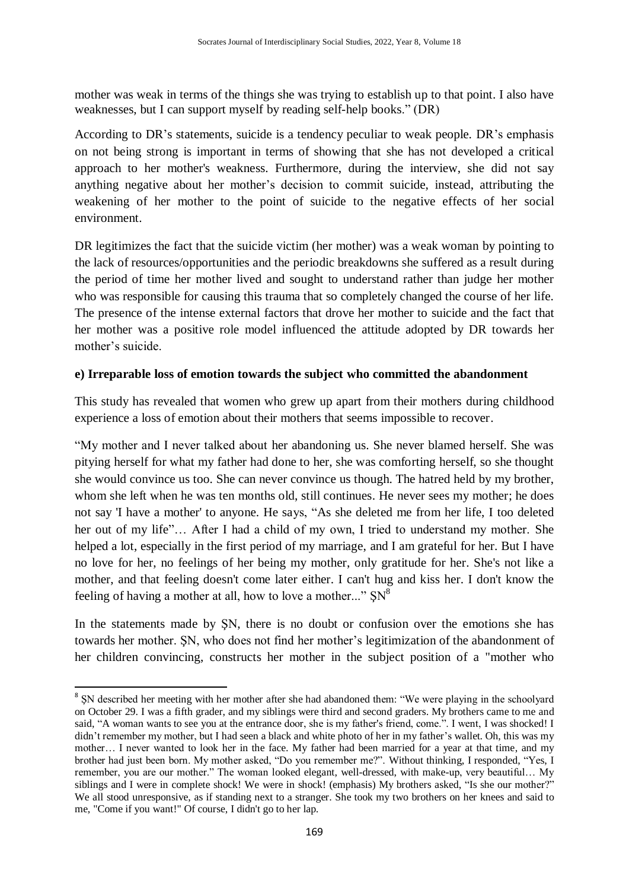mother was weak in terms of the things she was trying to establish up to that point. I also have weaknesses, but I can support myself by reading self-help books." (DR)

According to DR's statements, suicide is a tendency peculiar to weak people. DR's emphasis on not being strong is important in terms of showing that she has not developed a critical approach to her mother's weakness. Furthermore, during the interview, she did not say anything negative about her mother"s decision to commit suicide, instead, attributing the weakening of her mother to the point of suicide to the negative effects of her social environment.

DR legitimizes the fact that the suicide victim (her mother) was a weak woman by pointing to the lack of resources/opportunities and the periodic breakdowns she suffered as a result during the period of time her mother lived and sought to understand rather than judge her mother who was responsible for causing this trauma that so completely changed the course of her life. The presence of the intense external factors that drove her mother to suicide and the fact that her mother was a positive role model influenced the attitude adopted by DR towards her mother's suicide.

# **e) Irreparable loss of emotion towards the subject who committed the abandonment**

This study has revealed that women who grew up apart from their mothers during childhood experience a loss of emotion about their mothers that seems impossible to recover.

"My mother and I never talked about her abandoning us. She never blamed herself. She was pitying herself for what my father had done to her, she was comforting herself, so she thought she would convince us too. She can never convince us though. The hatred held by my brother, whom she left when he was ten months old, still continues. He never sees my mother; he does not say 'I have a mother' to anyone. He says, "As she deleted me from her life, I too deleted her out of my life"… After I had a child of my own, I tried to understand my mother. She helped a lot, especially in the first period of my marriage, and I am grateful for her. But I have no love for her, no feelings of her being my mother, only gratitude for her. She's not like a mother, and that feeling doesn't come later either. I can't hug and kiss her. I don't know the feeling of having a mother at all, how to love a mother..."  $SN^8$ 

In the statements made by ŞN, there is no doubt or confusion over the emotions she has towards her mother. ŞN, who does not find her mother"s legitimization of the abandonment of her children convincing, constructs her mother in the subject position of a "mother who

1

<sup>&</sup>lt;sup>8</sup> SN described her meeting with her mother after she had abandoned them: "We were playing in the schoolyard on October 29. I was a fifth grader, and my siblings were third and second graders. My brothers came to me and said, "A woman wants to see you at the entrance door, she is my father's friend, come.". I went, I was shocked! I didn"t remember my mother, but I had seen a black and white photo of her in my father"s wallet. Oh, this was my mother… I never wanted to look her in the face. My father had been married for a year at that time, and my brother had just been born. My mother asked, "Do you remember me?". Without thinking, I responded, "Yes, I remember, you are our mother." The woman looked elegant, well-dressed, with make-up, very beautiful… My siblings and I were in complete shock! We were in shock! (emphasis) My brothers asked, "Is she our mother?" We all stood unresponsive, as if standing next to a stranger. She took my two brothers on her knees and said to me, "Come if you want!" Of course, I didn't go to her lap.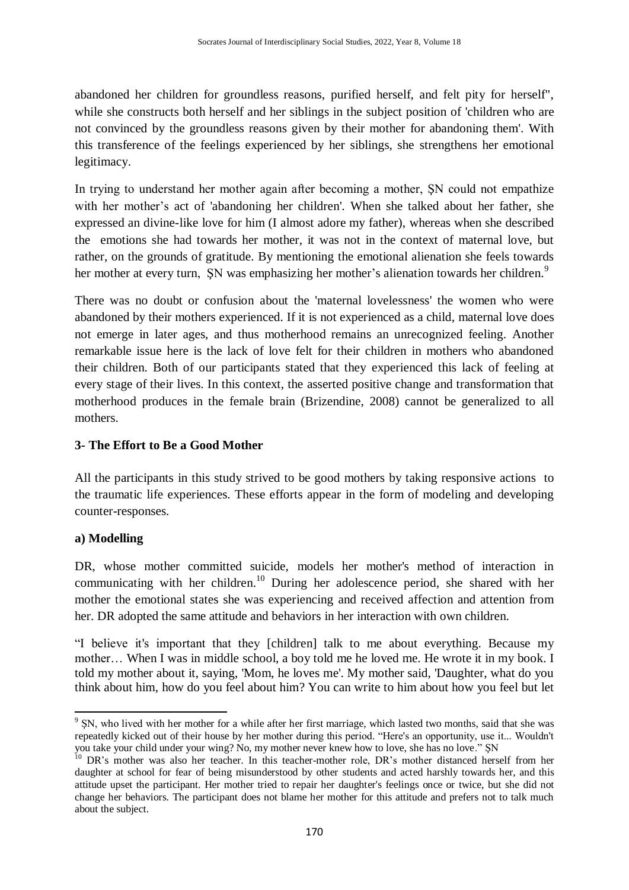abandoned her children for groundless reasons, purified herself, and felt pity for herself", while she constructs both herself and her siblings in the subject position of 'children who are not convinced by the groundless reasons given by their mother for abandoning them'. With this transference of the feelings experienced by her siblings, she strengthens her emotional legitimacy.

In trying to understand her mother again after becoming a mother, ŞN could not empathize with her mother"s act of 'abandoning her children'. When she talked about her father, she expressed an divine-like love for him (I almost adore my father), whereas when she described the emotions she had towards her mother, it was not in the context of maternal love, but rather, on the grounds of gratitude. By mentioning the emotional alienation she feels towards her mother at every turn, SN was emphasizing her mother's alienation towards her children.<sup>9</sup>

There was no doubt or confusion about the 'maternal lovelessness' the women who were abandoned by their mothers experienced. If it is not experienced as a child, maternal love does not emerge in later ages, and thus motherhood remains an unrecognized feeling. Another remarkable issue here is the lack of love felt for their children in mothers who abandoned their children. Both of our participants stated that they experienced this lack of feeling at every stage of their lives. In this context, the asserted positive change and transformation that motherhood produces in the female brain (Brizendine, 2008) cannot be generalized to all mothers.

### **3- The Effort to Be a Good Mother**

All the participants in this study strived to be good mothers by taking responsive actions to the traumatic life experiences. These efforts appear in the form of modeling and developing counter-responses.

#### **a) Modelling**

DR, whose mother committed suicide, models her mother's method of interaction in communicating with her children. <sup>10</sup> During her adolescence period, she shared with her mother the emotional states she was experiencing and received affection and attention from her. DR adopted the same attitude and behaviors in her interaction with own children.

"I believe it's important that they [children] talk to me about everything. Because my mother… When I was in middle school, a boy told me he loved me. He wrote it in my book. I told my mother about it, saying, 'Mom, he loves me'. My mother said, 'Daughter, what do you think about him, how do you feel about him? You can write to him about how you feel but let

**<sup>.</sup>** <sup>9</sup> SN, who lived with her mother for a while after her first marriage, which lasted two months, said that she was repeatedly kicked out of their house by her mother during this period. "Here's an opportunity, use it... Wouldn't you take your child under your wing? No, my mother never knew how to love, she has no love." ŞN

<sup>&</sup>lt;sup>10</sup> DR's mother was also her teacher. In this teacher-mother role, DR's mother distanced herself from her daughter at school for fear of being misunderstood by other students and acted harshly towards her, and this attitude upset the participant. Her mother tried to repair her daughter's feelings once or twice, but she did not change her behaviors. The participant does not blame her mother for this attitude and prefers not to talk much about the subject.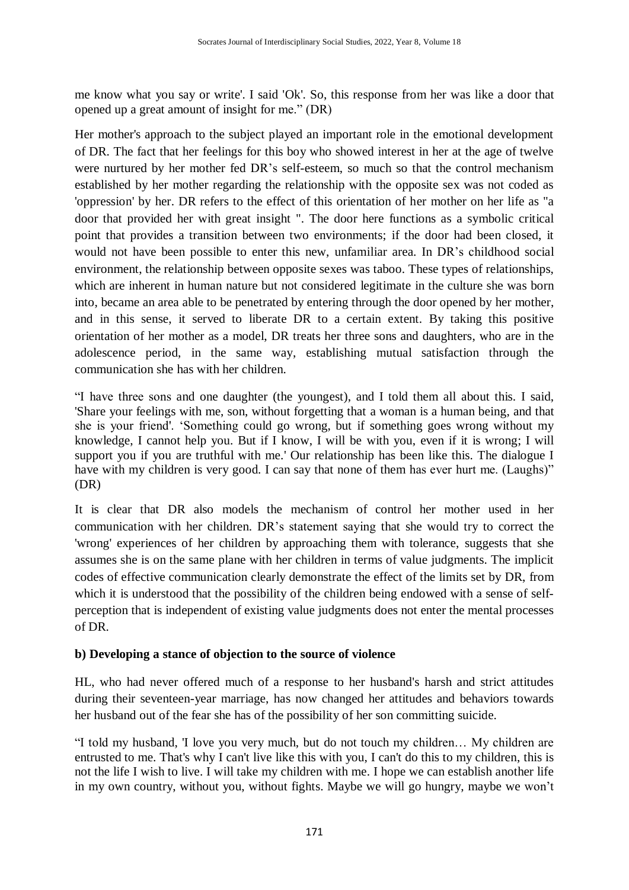me know what you say or write'. I said 'Ok'. So, this response from her was like a door that opened up a great amount of insight for me." (DR)

Her mother's approach to the subject played an important role in the emotional development of DR. The fact that her feelings for this boy who showed interest in her at the age of twelve were nurtured by her mother fed DR's self-esteem, so much so that the control mechanism established by her mother regarding the relationship with the opposite sex was not coded as 'oppression' by her. DR refers to the effect of this orientation of her mother on her life as "a door that provided her with great insight ". The door here functions as a symbolic critical point that provides a transition between two environments; if the door had been closed, it would not have been possible to enter this new, unfamiliar area. In DR"s childhood social environment, the relationship between opposite sexes was taboo. These types of relationships, which are inherent in human nature but not considered legitimate in the culture she was born into, became an area able to be penetrated by entering through the door opened by her mother, and in this sense, it served to liberate DR to a certain extent. By taking this positive orientation of her mother as a model, DR treats her three sons and daughters, who are in the adolescence period, in the same way, establishing mutual satisfaction through the communication she has with her children.

"I have three sons and one daughter (the youngest), and I told them all about this. I said, 'Share your feelings with me, son, without forgetting that a woman is a human being, and that she is your friend'. "Something could go wrong, but if something goes wrong without my knowledge, I cannot help you. But if I know, I will be with you, even if it is wrong; I will support you if you are truthful with me.' Our relationship has been like this. The dialogue I have with my children is very good. I can say that none of them has ever hurt me. (Laughs)" (DR)

It is clear that DR also models the mechanism of control her mother used in her communication with her children. DR"s statement saying that she would try to correct the 'wrong' experiences of her children by approaching them with tolerance, suggests that she assumes she is on the same plane with her children in terms of value judgments. The implicit codes of effective communication clearly demonstrate the effect of the limits set by DR, from which it is understood that the possibility of the children being endowed with a sense of selfperception that is independent of existing value judgments does not enter the mental processes of DR.

# **b) Developing a stance of objection to the source of violence**

HL, who had never offered much of a response to her husband's harsh and strict attitudes during their seventeen-year marriage, has now changed her attitudes and behaviors towards her husband out of the fear she has of the possibility of her son committing suicide.

"I told my husband, 'I love you very much, but do not touch my children… My children are entrusted to me. That's why I can't live like this with you, I can't do this to my children, this is not the life I wish to live. I will take my children with me. I hope we can establish another life in my own country, without you, without fights. Maybe we will go hungry, maybe we won"t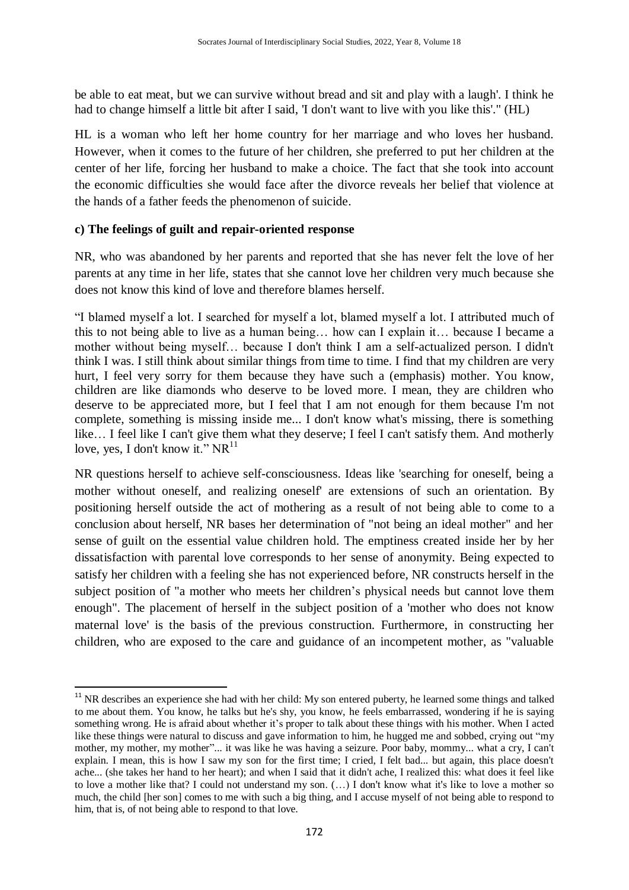be able to eat meat, but we can survive without bread and sit and play with a laugh'. I think he had to change himself a little bit after I said, 'I don't want to live with you like this'." (HL)

HL is a woman who left her home country for her marriage and who loves her husband. However, when it comes to the future of her children, she preferred to put her children at the center of her life, forcing her husband to make a choice. The fact that she took into account the economic difficulties she would face after the divorce reveals her belief that violence at the hands of a father feeds the phenomenon of suicide.

### **c) The feelings of guilt and repair-oriented response**

1

NR, who was abandoned by her parents and reported that she has never felt the love of her parents at any time in her life, states that she cannot love her children very much because she does not know this kind of love and therefore blames herself.

"I blamed myself a lot. I searched for myself a lot, blamed myself a lot. I attributed much of this to not being able to live as a human being… how can I explain it… because I became a mother without being myself… because I don't think I am a self-actualized person. I didn't think I was. I still think about similar things from time to time. I find that my children are very hurt, I feel very sorry for them because they have such a (emphasis) mother. You know, children are like diamonds who deserve to be loved more. I mean, they are children who deserve to be appreciated more, but I feel that I am not enough for them because I'm not complete, something is missing inside me... I don't know what's missing, there is something like… I feel like I can't give them what they deserve; I feel I can't satisfy them. And motherly love, yes, I don't know it."  $NR^{11}$ 

NR questions herself to achieve self-consciousness. Ideas like 'searching for oneself, being a mother without oneself, and realizing oneself' are extensions of such an orientation. By positioning herself outside the act of mothering as a result of not being able to come to a conclusion about herself, NR bases her determination of "not being an ideal mother" and her sense of guilt on the essential value children hold. The emptiness created inside her by her dissatisfaction with parental love corresponds to her sense of anonymity. Being expected to satisfy her children with a feeling she has not experienced before, NR constructs herself in the subject position of "a mother who meets her children"s physical needs but cannot love them enough". The placement of herself in the subject position of a 'mother who does not know maternal love' is the basis of the previous construction. Furthermore, in constructing her children, who are exposed to the care and guidance of an incompetent mother, as "valuable

<sup>&</sup>lt;sup>11</sup> NR describes an experience she had with her child: My son entered puberty, he learned some things and talked to me about them. You know, he talks but he's shy, you know, he feels embarrassed, wondering if he is saying something wrong. He is afraid about whether it's proper to talk about these things with his mother. When I acted like these things were natural to discuss and gave information to him, he hugged me and sobbed, crying out "my mother, my mother, my mother"... it was like he was having a seizure. Poor baby, mommy... what a cry, I can't explain. I mean, this is how I saw my son for the first time; I cried, I felt bad... but again, this place doesn't ache... (she takes her hand to her heart); and when I said that it didn't ache, I realized this: what does it feel like to love a mother like that? I could not understand my son. (…) I don't know what it's like to love a mother so much, the child [her son] comes to me with such a big thing, and I accuse myself of not being able to respond to him, that is, of not being able to respond to that love.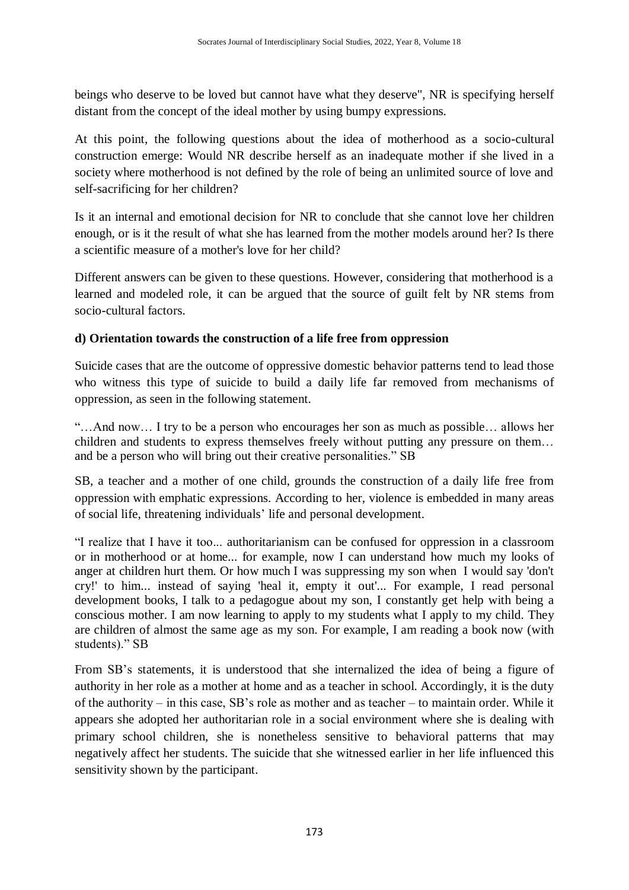beings who deserve to be loved but cannot have what they deserve", NR is specifying herself distant from the concept of the ideal mother by using bumpy expressions.

At this point, the following questions about the idea of motherhood as a socio-cultural construction emerge: Would NR describe herself as an inadequate mother if she lived in a society where motherhood is not defined by the role of being an unlimited source of love and self-sacrificing for her children?

Is it an internal and emotional decision for NR to conclude that she cannot love her children enough, or is it the result of what she has learned from the mother models around her? Is there a scientific measure of a mother's love for her child?

Different answers can be given to these questions. However, considering that motherhood is a learned and modeled role, it can be argued that the source of guilt felt by NR stems from socio-cultural factors.

# **d) Orientation towards the construction of a life free from oppression**

Suicide cases that are the outcome of oppressive domestic behavior patterns tend to lead those who witness this type of suicide to build a daily life far removed from mechanisms of oppression, as seen in the following statement.

"…And now… I try to be a person who encourages her son as much as possible… allows her children and students to express themselves freely without putting any pressure on them… and be a person who will bring out their creative personalities." SB

SB, a teacher and a mother of one child, grounds the construction of a daily life free from oppression with emphatic expressions. According to her, violence is embedded in many areas of social life, threatening individuals" life and personal development.

"I realize that I have it too... authoritarianism can be confused for oppression in a classroom or in motherhood or at home... for example, now I can understand how much my looks of anger at children hurt them. Or how much I was suppressing my son when I would say 'don't cry!' to him... instead of saying 'heal it, empty it out'... For example, I read personal development books, I talk to a pedagogue about my son, I constantly get help with being a conscious mother. I am now learning to apply to my students what I apply to my child. They are children of almost the same age as my son. For example, I am reading a book now (with students)." SB

From SB"s statements, it is understood that she internalized the idea of being a figure of authority in her role as a mother at home and as a teacher in school. Accordingly, it is the duty of the authority – in this case, SB"s role as mother and as teacher – to maintain order. While it appears she adopted her authoritarian role in a social environment where she is dealing with primary school children, she is nonetheless sensitive to behavioral patterns that may negatively affect her students. The suicide that she witnessed earlier in her life influenced this sensitivity shown by the participant.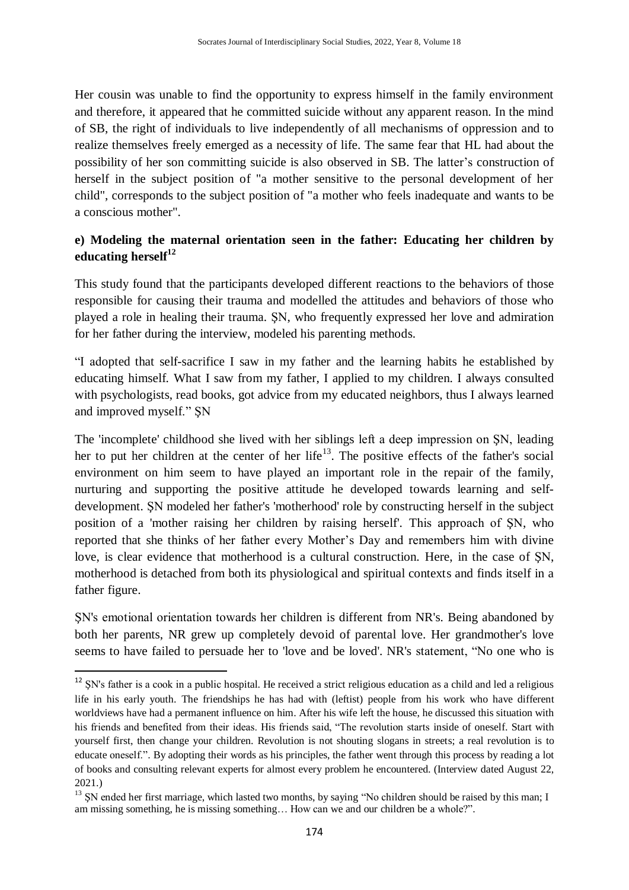Her cousin was unable to find the opportunity to express himself in the family environment and therefore, it appeared that he committed suicide without any apparent reason. In the mind of SB, the right of individuals to live independently of all mechanisms of oppression and to realize themselves freely emerged as a necessity of life. The same fear that HL had about the possibility of her son committing suicide is also observed in SB. The latter"s construction of herself in the subject position of "a mother sensitive to the personal development of her child", corresponds to the subject position of "a mother who feels inadequate and wants to be a conscious mother".

# **e) Modeling the maternal orientation seen in the father: Educating her children by educating herself<sup>12</sup>**

This study found that the participants developed different reactions to the behaviors of those responsible for causing their trauma and modelled the attitudes and behaviors of those who played a role in healing their trauma. ŞN, who frequently expressed her love and admiration for her father during the interview, modeled his parenting methods.

"I adopted that self-sacrifice I saw in my father and the learning habits he established by educating himself. What I saw from my father, I applied to my children. I always consulted with psychologists, read books, got advice from my educated neighbors, thus I always learned and improved myself." ŞN

The 'incomplete' childhood she lived with her siblings left a deep impression on ŞN, leading her to put her children at the center of her life<sup>13</sup>. The positive effects of the father's social environment on him seem to have played an important role in the repair of the family, nurturing and supporting the positive attitude he developed towards learning and selfdevelopment. ŞN modeled her father's 'motherhood' role by constructing herself in the subject position of a 'mother raising her children by raising herself'. This approach of ŞN, who reported that she thinks of her father every Mother"s Day and remembers him with divine love, is clear evidence that motherhood is a cultural construction. Here, in the case of ŞN, motherhood is detached from both its physiological and spiritual contexts and finds itself in a father figure.

ŞN's emotional orientation towards her children is different from NR's. Being abandoned by both her parents, NR grew up completely devoid of parental love. Her grandmother's love seems to have failed to persuade her to 'love and be loved'. NR's statement, "No one who is

**.** 

<sup>&</sup>lt;sup>12</sup> SN's father is a cook in a public hospital. He received a strict religious education as a child and led a religious life in his early youth. The friendships he has had with (leftist) people from his work who have different worldviews have had a permanent influence on him. After his wife left the house, he discussed this situation with his friends and benefited from their ideas. His friends said, "The revolution starts inside of oneself. Start with yourself first, then change your children. Revolution is not shouting slogans in streets; a real revolution is to educate oneself.". By adopting their words as his principles, the father went through this process by reading a lot of books and consulting relevant experts for almost every problem he encountered. (Interview dated August 22, 2021.)

<sup>&</sup>lt;sup>13</sup> SN ended her first marriage, which lasted two months, by saying "No children should be raised by this man; I am missing something, he is missing something… How can we and our children be a whole?".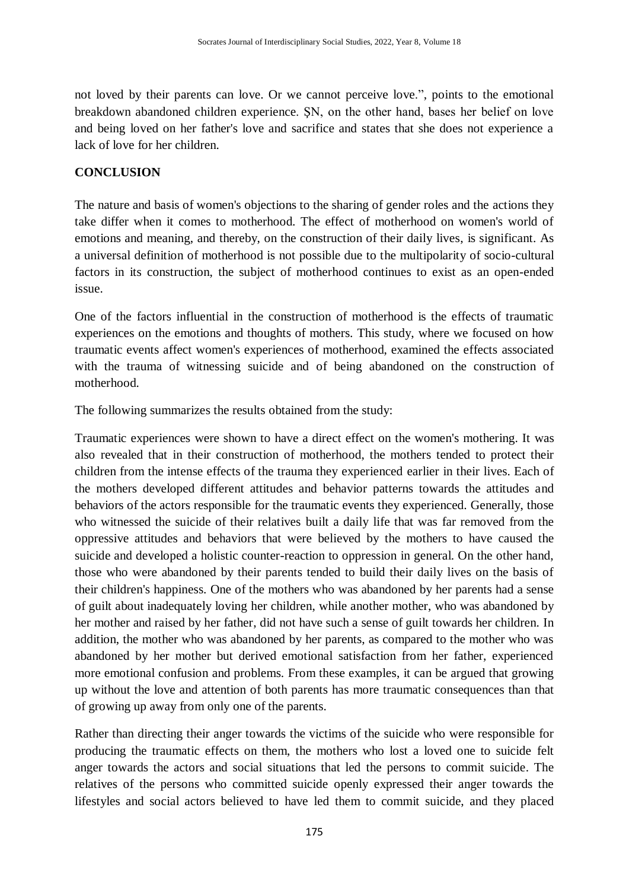not loved by their parents can love. Or we cannot perceive love.", points to the emotional breakdown abandoned children experience. ŞN, on the other hand, bases her belief on love and being loved on her father's love and sacrifice and states that she does not experience a lack of love for her children.

#### **CONCLUSION**

The nature and basis of women's objections to the sharing of gender roles and the actions they take differ when it comes to motherhood. The effect of motherhood on women's world of emotions and meaning, and thereby, on the construction of their daily lives, is significant. As a universal definition of motherhood is not possible due to the multipolarity of socio-cultural factors in its construction, the subject of motherhood continues to exist as an open-ended issue.

One of the factors influential in the construction of motherhood is the effects of traumatic experiences on the emotions and thoughts of mothers. This study, where we focused on how traumatic events affect women's experiences of motherhood, examined the effects associated with the trauma of witnessing suicide and of being abandoned on the construction of motherhood.

The following summarizes the results obtained from the study:

Traumatic experiences were shown to have a direct effect on the women's mothering. It was also revealed that in their construction of motherhood, the mothers tended to protect their children from the intense effects of the trauma they experienced earlier in their lives. Each of the mothers developed different attitudes and behavior patterns towards the attitudes and behaviors of the actors responsible for the traumatic events they experienced. Generally, those who witnessed the suicide of their relatives built a daily life that was far removed from the oppressive attitudes and behaviors that were believed by the mothers to have caused the suicide and developed a holistic counter-reaction to oppression in general. On the other hand, those who were abandoned by their parents tended to build their daily lives on the basis of their children's happiness. One of the mothers who was abandoned by her parents had a sense of guilt about inadequately loving her children, while another mother, who was abandoned by her mother and raised by her father, did not have such a sense of guilt towards her children. In addition, the mother who was abandoned by her parents, as compared to the mother who was abandoned by her mother but derived emotional satisfaction from her father, experienced more emotional confusion and problems. From these examples, it can be argued that growing up without the love and attention of both parents has more traumatic consequences than that of growing up away from only one of the parents.

Rather than directing their anger towards the victims of the suicide who were responsible for producing the traumatic effects on them, the mothers who lost a loved one to suicide felt anger towards the actors and social situations that led the persons to commit suicide. The relatives of the persons who committed suicide openly expressed their anger towards the lifestyles and social actors believed to have led them to commit suicide, and they placed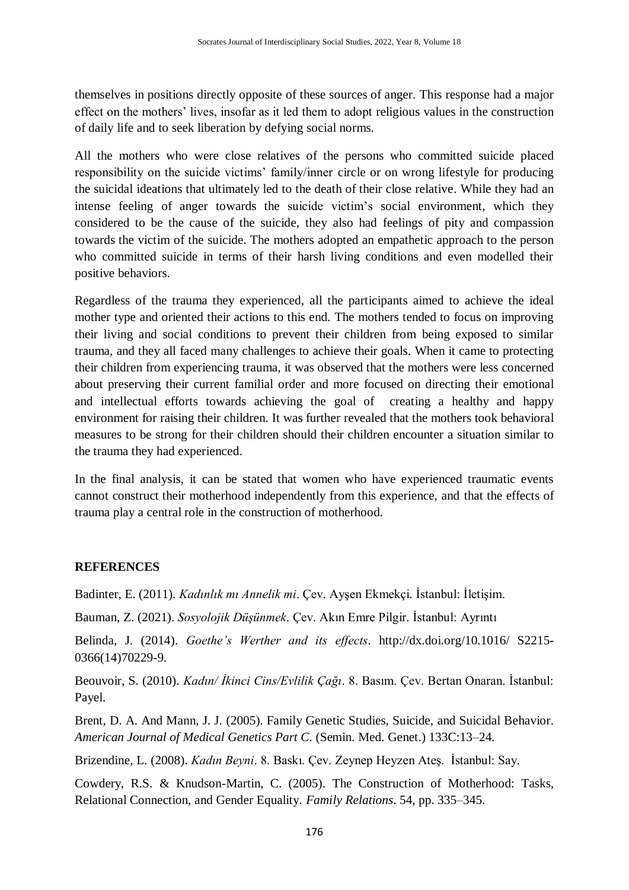themselves in positions directly opposite of these sources of anger. This response had a major effect on the mothers" lives, insofar as it led them to adopt religious values in the construction of daily life and to seek liberation by defying social norms.

All the mothers who were close relatives of the persons who committed suicide placed responsibility on the suicide victims' family/inner circle or on wrong lifestyle for producing the suicidal ideations that ultimately led to the death of their close relative. While they had an intense feeling of anger towards the suicide victim"s social environment, which they considered to be the cause of the suicide, they also had feelings of pity and compassion towards the victim of the suicide. The mothers adopted an empathetic approach to the person who committed suicide in terms of their harsh living conditions and even modelled their positive behaviors.

Regardless of the trauma they experienced, all the participants aimed to achieve the ideal mother type and oriented their actions to this end. The mothers tended to focus on improving their living and social conditions to prevent their children from being exposed to similar trauma, and they all faced many challenges to achieve their goals. When it came to protecting their children from experiencing trauma, it was observed that the mothers were less concerned about preserving their current familial order and more focused on directing their emotional and intellectual efforts towards achieving the goal of creating a healthy and happy environment for raising their children. It was further revealed that the mothers took behavioral measures to be strong for their children should their children encounter a situation similar to the trauma they had experienced.

In the final analysis, it can be stated that women who have experienced traumatic events cannot construct their motherhood independently from this experience, and that the effects of trauma play a central role in the construction of motherhood.

# **REFERENCES**

Badinter, E. (2011). *Kadınlık mı Annelik mi*. Çev. Ayşen Ekmekçi. İstanbul: İletişim.

Bauman, Z. (2021). *Sosyolojik Düşünmek*. Çev. Akın Emre Pilgir. İstanbul: Ayrıntı

Belinda, J. (2014). *Goethe's Werther and its effects*. http://dx.doi.org/10.1016/ S2215- 0366(14)70229-9.

Beouvoir, S. (2010). *Kadın/ İkinci Cins/Evlilik Çağı*. 8. Basım. Çev. Bertan Onaran. İstanbul: Payel.

Brent, D. A. And Mann, J. J. (2005). Family Genetic Studies, Suicide, and Suicidal Behavior. *American Journal of Medical Genetics Part C.* (Semin. Med. Genet.) 133C:13–24.

Brizendine, L. (2008). *Kadın Beyni*. 8. Baskı. Çev. Zeynep Heyzen Ateş. İstanbul: Say.

Cowdery, R.S. & Knudson-Martin, C. (2005). The Construction of Motherhood: Tasks, Relational Connection, and Gender Equality*. Family Relations*. 54, pp. 335–345.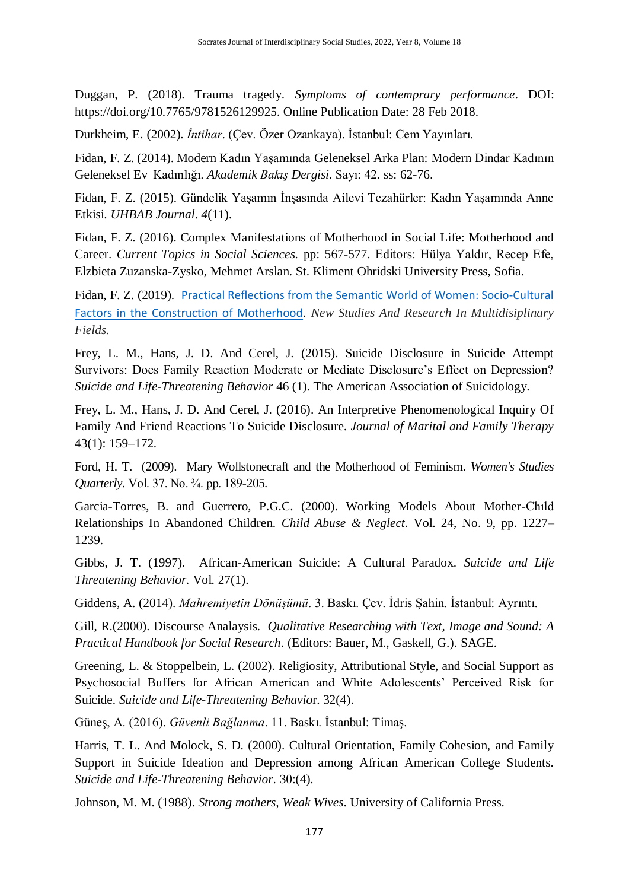Duggan, P. (2018). Trauma tragedy. *Symptoms of contemprary performance*. DOI: https://doi.org/10.7765/9781526129925. Online Publication Date: 28 Feb 2018.

Durkheim, E. (2002). *İntihar*. (Çev. Özer Ozankaya). İstanbul: Cem Yayınları.

Fidan, F. Z. (2014). Modern Kadın Yaşamında Geleneksel Arka Plan: Modern Dindar Kadının Geleneksel Ev Kadınlığı. *Akademik Bakış Dergisi*. Sayı: 42*.* ss: 62-76.

Fidan, F. Z. (2015). Gündelik Yaşamın İnşasında Ailevi Tezahürler: Kadın Yaşamında Anne Etkisi. *UHBAB Journal*. *4*(11).

Fidan, F. Z. (2016). Complex Manifestations of Motherhood in Social Life: Motherhood and Career. *Current Topics in Social Sciences.* pp: 567-577. Editors: Hülya Yaldır, Recep Efe, Elzbieta Zuzanska-Zysko, Mehmet Arslan. St. Kliment Ohridski University Press, Sofia.

Fidan, F. Z. (2019). [Practical Reflections from the Semantic World of Women: Socio-Cultural](https://scholar.google.com.tr/scholar?oi=bibs&cluster=3712707824523303122&btnI=1&hl=tr)  [Factors in the Construction of Motherhood](https://scholar.google.com.tr/scholar?oi=bibs&cluster=3712707824523303122&btnI=1&hl=tr). *New Studies And Research In Multidisiplinary Fields.*

Frey, L. M., Hans, J. D. And Cerel, J. (2015). Suicide Disclosure in Suicide Attempt Survivors: Does Family Reaction Moderate or Mediate Disclosure"s Effect on Depression? *Suicide and Life-Threatening Behavior* 46 (1). The American Association of Suicidology.

Frey, L. M., Hans, J. D. And Cerel, J. (2016). An Interpretive Phenomenological Inquiry Of Family And Friend Reactions To Suicide Disclosure. *Journal of Marital and Family Therapy* 43(1): 159–172.

Ford, H. T. (2009). Mary Wollstonecraft and the Motherhood of Feminism. *Women's Studies Quarterly*. Vol. 37. No. ¾. pp. 189-205.

Garcia-Torres, B. and Guerrero, P.G.C. (2000). Working Models About Mother-Chıld Relationships In Abandoned Children. *Child Abuse & Neglect*. Vol. 24, No. 9, pp. 1227– 1239.

Gibbs, J. T. (1997). African-American Suicide: A Cultural Paradox. *Suicide and Life Threatening Behavior.* Vol. 27(1).

Giddens, A. (2014). *Mahremiyetin Dönüşümü*. 3. Baskı. Çev. İdris Şahin. İstanbul: Ayrıntı.

Gill, R.(2000). Discourse Analaysis. *Qualitative Researching with Text, Image and Sound: A Practical Handbook for Social Research*. (Editors: Bauer, M., Gaskell, G.). SAGE.

Greening, L. & Stoppelbein, L. (2002). Religiosity, Attributional Style, and Social Support as Psychosocial Buffers for African American and White Adolescents" Perceived Risk for Suicide. *Suicide and Life-Threatening Behavio*r. 32(4).

Güneş, A. (2016). *Güvenli Bağlanma*. 11. Baskı. İstanbul: Timaş.

Harris, T. L. And Molock, S. D. (2000). Cultural Orientation, Family Cohesion, and Family Support in Suicide Ideation and Depression among African American College Students. *Suicide and Life-Threatening Behavior*. 30:(4).

Johnson, M. M. (1988). *Strong mothers, Weak Wives*. University of California Press.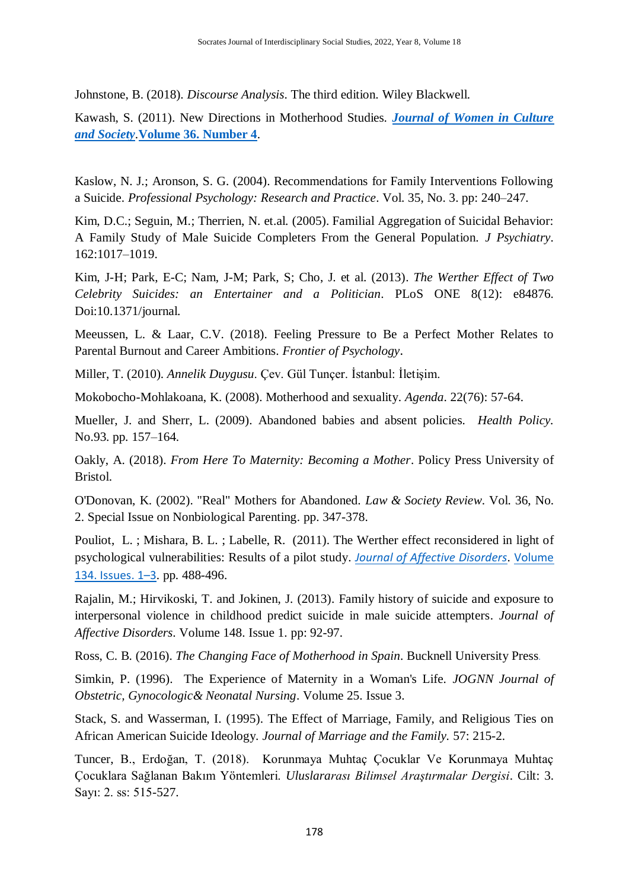Johnstone, B. (2018). *Discourse Analysis*. The third edition. Wiley Blackwell.

Kawash, S. (2011). New Directions in Motherhood Studies. *[Journal of Women in Culture](https://www.journals.uchicago.edu/journal/signs)  [and Society](https://www.journals.uchicago.edu/journal/signs)*.**[Volume 36. Number 4](https://www.journals.uchicago.edu/toc/signs/2011/36/4)**.

Kaslow, N. J.; Aronson, S. G. (2004). Recommendations for Family Interventions Following a Suicide. *Professional Psychology: Research and Practice*. Vol. 35, No. 3. pp: 240–247.

Kim, D.C.; Seguin, M.; Therrien, N. et.al. (2005). Familial Aggregation of Suicidal Behavior: A Family Study of Male Suicide Completers From the General Population. *J Psychiatry*. 162:1017–1019.

Kim, J-H; Park, E-C; Nam, J-M; Park, S; Cho, J. et al. (2013). *The Werther Effect of Two Celebrity Suicides: an Entertainer and a Politician*. PLoS ONE 8(12): e84876. Doi:10.1371/journal.

Meeussen, L. & Laar, C.V. (2018). Feeling Pressure to Be a Perfect Mother Relates to Parental Burnout and Career Ambitions. *Frontier of Psychology*.

Miller, T. (2010). *Annelik Duygusu*. Çev. Gül Tunçer. İstanbul: İletişim.

Mokobocho-Mohlakoana, K. (2008). Motherhood and sexuality. *Agenda*. 22(76): 57-64.

Mueller, J. and Sherr, L. (2009). Abandoned babies and absent policies. *Health Policy.* No.93. pp. 157–164.

Oakly, A. (2018). *From Here To Maternity: Becoming a Mother*. Policy Press University of Bristol.

O'Donovan, K. (2002). "Real" Mothers for Abandoned. *Law & Society Review*. Vol. 36, No. 2. Special Issue on Nonbiological Parenting. pp. 347-378.

Pouliot, [L. ;](https://www.sciencedirect.com/science/article/abs/pii/S0165032711002175?via%3Dihub#!) Mishara, [B. L.](https://www.sciencedirect.com/science/article/abs/pii/S0165032711002175?via%3Dihub#!) ; Labelle, [R.](https://www.sciencedirect.com/science/article/abs/pii/S0165032711002175?via%3Dihub#!) (2011). The Werther effect reconsidered in light of psychological vulnerabilities: Results of a pilot study. *[Journal of Affective Disorders](https://www.sciencedirect.com/science/journal/01650327)*. [Volume](https://www.sciencedirect.com/science/journal/01650327/134/1)  134. [Issues.](https://www.sciencedirect.com/science/journal/01650327/134/1) 1–3. pp. 488-496.

Rajalin, M.; Hirvikoski, T. and Jokinen, J. (2013). Family history of suicide and exposure to interpersonal violence in childhood predict suicide in male suicide attempters. *[Journal of](https://www.sciencedirect.com/science/journal/01650327)  [Affective Disorders](https://www.sciencedirect.com/science/journal/01650327)*. Volume 148. Issue 1. pp: 92-97.

Ross, C. B. (2016). *The Changing Face of Motherhood in Spain*. [Bucknell University Press](https://books.google.com.tr/url?id=hggZCwAAQBAJ&pg=PR7&q=http://www.rowman.com&linkid=1&usg=AOvVaw0JvqjUS7aQRA9fyF_0kSKR&source=gbs_pub_info_r)*.*

Simkin, P. (1996). The Experience of Maternity in a Woman's Life. *JOGNN Journal of Obstetric, Gynocologic& Neonatal Nursing*. Volume 25. Issue 3.

Stack, S. and Wasserman, I. (1995). The Effect of Marriage, Family, and Religious Ties on African American Suicide Ideology. *Journal of Marriage and the Family.* 57: 215-2.

Tuncer, B., Erdoğan, T. (2018). Korunmaya Muhtaç Çocuklar Ve Korunmaya Muhtaç Çocuklara Sağlanan Bakım Yöntemleri. *Uluslararası Bilimsel Araştırmalar Dergisi*. Cilt: 3. Sayı: 2. ss: 515-527.